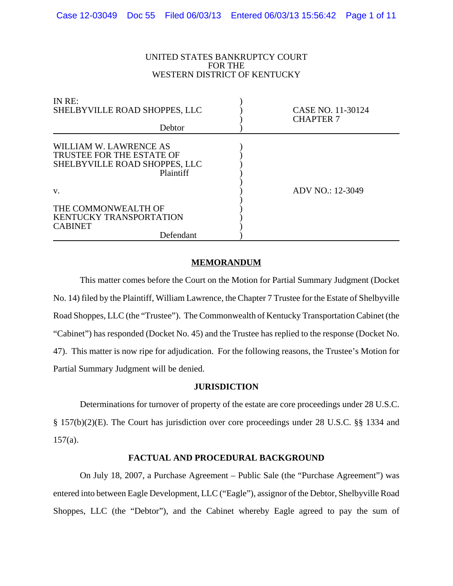#### UNITED STATES BANKRUPTCY COURT FOR THE WESTERN DISTRICT OF KENTUCKY

| IN RE:<br>SHELBYVILLE ROAD SHOPPES, LLC<br>Debtor                                                 | CASE NO. 11-30124<br><b>CHAPTER 7</b> |  |
|---------------------------------------------------------------------------------------------------|---------------------------------------|--|
| WILLIAM W. LAWRENCE AS<br>TRUSTEE FOR THE ESTATE OF<br>SHELBYVILLE ROAD SHOPPES, LLC<br>Plaintiff |                                       |  |
| V.                                                                                                | ADV NO.: 12-3049                      |  |
| THE COMMONWEALTH OF<br><b>KENTUCKY TRANSPORTATION</b><br><b>CABINET</b><br>Defendant              |                                       |  |

# **MEMORANDUM**

This matter comes before the Court on the Motion for Partial Summary Judgment (Docket No. 14) filed by the Plaintiff, William Lawrence, the Chapter 7 Trustee for the Estate of Shelbyville Road Shoppes, LLC (the "Trustee"). The Commonwealth of Kentucky Transportation Cabinet (the "Cabinet") has responded (Docket No. 45) and the Trustee has replied to the response (Docket No. 47). This matter is now ripe for adjudication. For the following reasons, the Trustee's Motion for Partial Summary Judgment will be denied.

# **JURISDICTION**

Determinations for turnover of property of the estate are core proceedings under 28 U.S.C. § 157(b)(2)(E). The Court has jurisdiction over core proceedings under 28 U.S.C. §§ 1334 and 157(a).

# **FACTUAL AND PROCEDURAL BACKGROUND**

On July 18, 2007, a Purchase Agreement – Public Sale (the "Purchase Agreement") was entered into between Eagle Development, LLC ("Eagle"), assignor of the Debtor, Shelbyville Road Shoppes, LLC (the "Debtor"), and the Cabinet whereby Eagle agreed to pay the sum of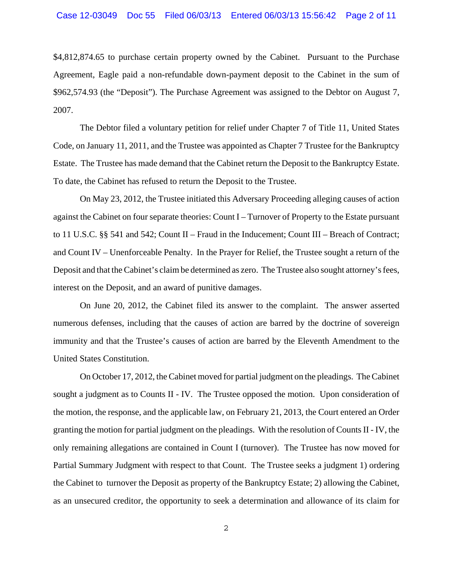\$4,812,874.65 to purchase certain property owned by the Cabinet. Pursuant to the Purchase Agreement, Eagle paid a non-refundable down-payment deposit to the Cabinet in the sum of \$962,574.93 (the "Deposit"). The Purchase Agreement was assigned to the Debtor on August 7, 2007.

The Debtor filed a voluntary petition for relief under Chapter 7 of Title 11, United States Code, on January 11, 2011, and the Trustee was appointed as Chapter 7 Trustee for the Bankruptcy Estate. The Trustee has made demand that the Cabinet return the Deposit to the Bankruptcy Estate. To date, the Cabinet has refused to return the Deposit to the Trustee.

On May 23, 2012, the Trustee initiated this Adversary Proceeding alleging causes of action against the Cabinet on four separate theories: Count I – Turnover of Property to the Estate pursuant to 11 U.S.C. §§ 541 and 542; Count II – Fraud in the Inducement; Count III – Breach of Contract; and Count IV – Unenforceable Penalty. In the Prayer for Relief, the Trustee sought a return of the Deposit and that the Cabinet's claim be determined as zero. The Trustee also sought attorney's fees, interest on the Deposit, and an award of punitive damages.

On June 20, 2012, the Cabinet filed its answer to the complaint. The answer asserted numerous defenses, including that the causes of action are barred by the doctrine of sovereign immunity and that the Trustee's causes of action are barred by the Eleventh Amendment to the United States Constitution.

On October 17, 2012, the Cabinet moved for partial judgment on the pleadings. The Cabinet sought a judgment as to Counts II - IV. The Trustee opposed the motion. Upon consideration of the motion, the response, and the applicable law, on February 21, 2013, the Court entered an Order granting the motion for partial judgment on the pleadings. With the resolution of Counts II - IV, the only remaining allegations are contained in Count I (turnover). The Trustee has now moved for Partial Summary Judgment with respect to that Count. The Trustee seeks a judgment 1) ordering the Cabinet to turnover the Deposit as property of the Bankruptcy Estate; 2) allowing the Cabinet, as an unsecured creditor, the opportunity to seek a determination and allowance of its claim for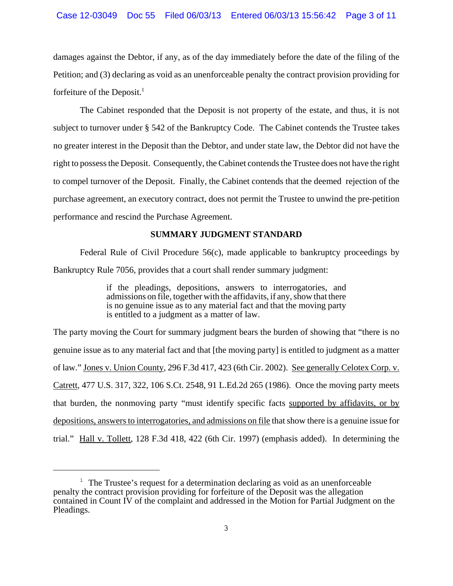damages against the Debtor, if any, as of the day immediately before the date of the filing of the Petition; and (3) declaring as void as an unenforceable penalty the contract provision providing for forfeiture of the Deposit. $<sup>1</sup>$ </sup>

The Cabinet responded that the Deposit is not property of the estate, and thus, it is not subject to turnover under § 542 of the Bankruptcy Code. The Cabinet contends the Trustee takes no greater interest in the Deposit than the Debtor, and under state law, the Debtor did not have the right to possess the Deposit. Consequently, the Cabinet contends the Trustee does not have the right to compel turnover of the Deposit. Finally, the Cabinet contends that the deemed rejection of the purchase agreement, an executory contract, does not permit the Trustee to unwind the pre-petition performance and rescind the Purchase Agreement.

# **SUMMARY JUDGMENT STANDARD**

Federal Rule of Civil Procedure 56(c), made applicable to bankruptcy proceedings by Bankruptcy Rule 7056, provides that a court shall render summary judgment:

> if the pleadings, depositions, answers to interrogatories, and admissions on file, together with the affidavits, if any, show that there is no genuine issue as to any material fact and that the moving party is entitled to a judgment as a matter of law.

The party moving the Court for summary judgment bears the burden of showing that "there is no genuine issue as to any material fact and that [the moving party] is entitled to judgment as a matter of law." Jones v. Union County, 296 F.3d 417, 423 (6th Cir. 2002). See generally Celotex Corp. v. Catrett, 477 U.S. 317, 322, 106 S.Ct. 2548, 91 L.Ed.2d 265 (1986). Once the moving party meets that burden, the nonmoving party "must identify specific facts supported by affidavits, or by depositions, answers to interrogatories, and admissions on file that show there is a genuine issue for trial." Hall v. Tollett, 128 F.3d 418, 422 (6th Cir. 1997) (emphasis added). In determining the

 $1$  The Trustee's request for a determination declaring as void as an unenforceable penalty the contract provision providing for forfeiture of the Deposit was the allegation contained in Count IV of the complaint and addressed in the Motion for Partial Judgment on the Pleadings.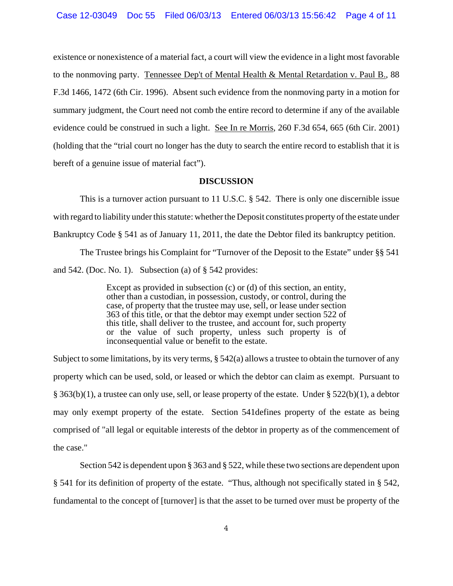existence or nonexistence of a material fact, a court will view the evidence in a light most favorable to the nonmoving party. Tennessee Dep't of Mental Health & Mental Retardation v. Paul B., 88 F.3d 1466, 1472 (6th Cir. 1996). Absent such evidence from the nonmoving party in a motion for summary judgment, the Court need not comb the entire record to determine if any of the available evidence could be construed in such a light. See In re Morris, 260 F.3d 654, 665 (6th Cir. 2001) (holding that the "trial court no longer has the duty to search the entire record to establish that it is bereft of a genuine issue of material fact").

#### **DISCUSSION**

This is a turnover action pursuant to 11 U.S.C. § 542. There is only one discernible issue with regard to liability under this statute: whether the Deposit constitutes property of the estate under Bankruptcy Code § 541 as of January 11, 2011, the date the Debtor filed its bankruptcy petition.

The Trustee brings his Complaint for "Turnover of the Deposit to the Estate" under §§ 541 and 542. (Doc. No. 1). Subsection (a) of § 542 provides:

> Except as provided in subsection (c) or (d) of this section, an entity, other than a custodian, in possession, custody, or control, during the case, of property that the trustee may use, sell, or lease under section 363 of this title, or that the debtor may exempt under section 522 of this title, shall deliver to the trustee, and account for, such property or the value of such property, unless such property is of inconsequential value or benefit to the estate.

Subject to some limitations, by its very terms,  $\S$  542(a) allows a trustee to obtain the turnover of any property which can be used, sold, or leased or which the debtor can claim as exempt. Pursuant to § 363(b)(1), a trustee can only use, sell, or lease property of the estate. Under § 522(b)(1), a debtor may only exempt property of the estate. Section 541defines property of the estate as being comprised of "all legal or equitable interests of the debtor in property as of the commencement of the case."

Section 542 is dependent upon § 363 and § 522, while these two sections are dependent upon § 541 for its definition of property of the estate. "Thus, although not specifically stated in § 542, fundamental to the concept of [turnover] is that the asset to be turned over must be property of the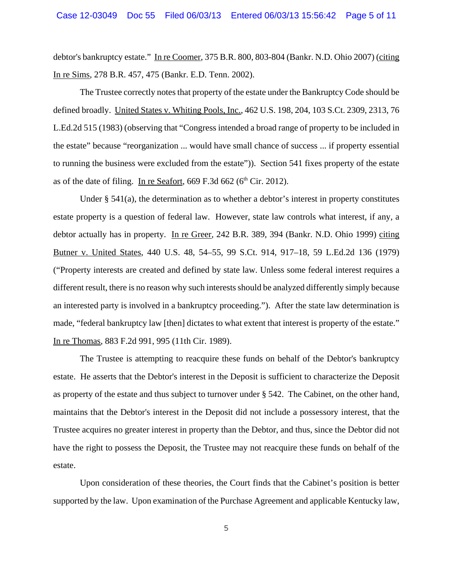debtor's bankruptcy estate." In re Coomer, 375 B.R. 800, 803-804 (Bankr. N.D. Ohio 2007) (citing In re Sims, 278 B.R. 457, 475 (Bankr. E.D. Tenn. 2002).

The Trustee correctly notes that property of the estate under the Bankruptcy Code should be defined broadly. United States v. Whiting Pools, Inc., 462 U.S. 198, 204, 103 S.Ct. 2309, 2313, 76 L.Ed.2d 515 (1983) (observing that "Congress intended a broad range of property to be included in the estate" because "reorganization ... would have small chance of success ... if property essential to running the business were excluded from the estate")). Section 541 fixes property of the estate as of the date of filing. In re Seafort,  $669$  F.3d  $662$  ( $6<sup>th</sup>$  Cir. 2012).

Under  $\S$  541(a), the determination as to whether a debtor's interest in property constitutes estate property is a question of federal law. However, state law controls what interest, if any, a debtor actually has in property. In re Greer, 242 B.R. 389, 394 (Bankr. N.D. Ohio 1999) citing Butner v. United States, 440 U.S. 48, 54–55, 99 S.Ct. 914, 917–18, 59 L.Ed.2d 136 (1979) ("Property interests are created and defined by state law. Unless some federal interest requires a different result, there is no reason why such interests should be analyzed differently simply because an interested party is involved in a bankruptcy proceeding."). After the state law determination is made, "federal bankruptcy law [then] dictates to what extent that interest is property of the estate." In re Thomas, 883 F.2d 991, 995 (11th Cir. 1989).

The Trustee is attempting to reacquire these funds on behalf of the Debtor's bankruptcy estate. He asserts that the Debtor's interest in the Deposit is sufficient to characterize the Deposit as property of the estate and thus subject to turnover under § 542. The Cabinet, on the other hand, maintains that the Debtor's interest in the Deposit did not include a possessory interest, that the Trustee acquires no greater interest in property than the Debtor, and thus, since the Debtor did not have the right to possess the Deposit, the Trustee may not reacquire these funds on behalf of the estate.

Upon consideration of these theories, the Court finds that the Cabinet's position is better supported by the law. Upon examination of the Purchase Agreement and applicable Kentucky law,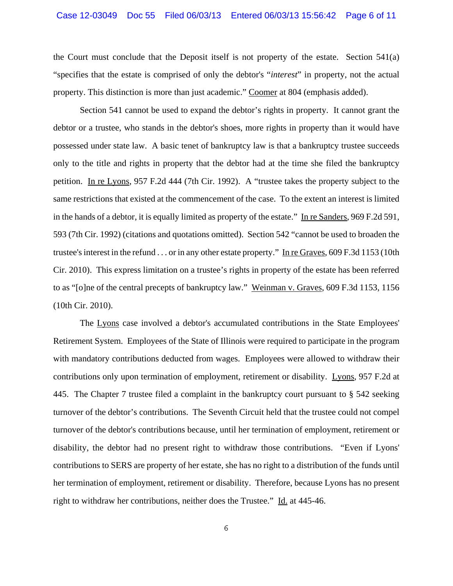the Court must conclude that the Deposit itself is not property of the estate. Section 541(a) "specifies that the estate is comprised of only the debtor's "*interest*" in property, not the actual property. This distinction is more than just academic." Coomer at 804 (emphasis added).

Section 541 cannot be used to expand the debtor's rights in property. It cannot grant the debtor or a trustee, who stands in the debtor's shoes, more rights in property than it would have possessed under state law. A basic tenet of bankruptcy law is that a bankruptcy trustee succeeds only to the title and rights in property that the debtor had at the time she filed the bankruptcy petition. In re Lyons, 957 F.2d 444 (7th Cir. 1992). A "trustee takes the property subject to the same restrictions that existed at the commencement of the case. To the extent an interest is limited in the hands of a debtor, it is equally limited as property of the estate." In re Sanders, 969 F.2d 591, 593 (7th Cir. 1992) (citations and quotations omitted). Section 542 "cannot be used to broaden the trustee's interest in the refund . . . or in any other estate property." In re Graves, 609 F.3d 1153 (10th Cir. 2010). This express limitation on a trustee's rights in property of the estate has been referred to as "[o]ne of the central precepts of bankruptcy law." Weinman v. Graves, 609 F.3d 1153, 1156 (10th Cir. 2010).

The Lyons case involved a debtor's accumulated contributions in the State Employees' Retirement System. Employees of the State of Illinois were required to participate in the program with mandatory contributions deducted from wages. Employees were allowed to withdraw their contributions only upon termination of employment, retirement or disability. Lyons, 957 F.2d at 445. The Chapter 7 trustee filed a complaint in the bankruptcy court pursuant to § 542 seeking turnover of the debtor's contributions. The Seventh Circuit held that the trustee could not compel turnover of the debtor's contributions because, until her termination of employment, retirement or disability, the debtor had no present right to withdraw those contributions. "Even if Lyons' contributions to SERS are property of her estate, she has no right to a distribution of the funds until her termination of employment, retirement or disability. Therefore, because Lyons has no present right to withdraw her contributions, neither does the Trustee." Id. at 445-46.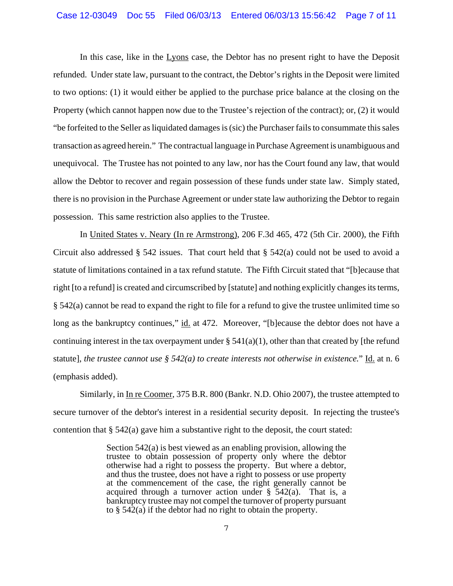In this case, like in the Lyons case, the Debtor has no present right to have the Deposit refunded. Under state law, pursuant to the contract, the Debtor's rights in the Deposit were limited to two options: (1) it would either be applied to the purchase price balance at the closing on the Property (which cannot happen now due to the Trustee's rejection of the contract); or, (2) it would "be forfeited to the Seller as liquidated damages is (sic) the Purchaser fails to consummate this sales transaction as agreed herein." The contractual language in Purchase Agreement is unambiguous and unequivocal. The Trustee has not pointed to any law, nor has the Court found any law, that would allow the Debtor to recover and regain possession of these funds under state law. Simply stated, there is no provision in the Purchase Agreement or under state law authorizing the Debtor to regain possession. This same restriction also applies to the Trustee.

In United States v. Neary (In re Armstrong), 206 F.3d 465, 472 (5th Cir. 2000), the Fifth Circuit also addressed  $\S$  542 issues. That court held that  $\S$  542(a) could not be used to avoid a statute of limitations contained in a tax refund statute. The Fifth Circuit stated that "[b]ecause that right [to a refund] is created and circumscribed by [statute] and nothing explicitly changes its terms, § 542(a) cannot be read to expand the right to file for a refund to give the trustee unlimited time so long as the bankruptcy continues," id. at 472. Moreover, "[b]ecause the debtor does not have a continuing interest in the tax overpayment under  $\S$  541(a)(1), other than that created by [the refund statute], *the trustee cannot use § 542(a) to create interests not otherwise in existence.*" Id. at n. 6 (emphasis added).

Similarly, in In re Coomer, 375 B.R. 800 (Bankr. N.D. Ohio 2007), the trustee attempted to secure turnover of the debtor's interest in a residential security deposit. In rejecting the trustee's contention that  $\S$  542(a) gave him a substantive right to the deposit, the court stated:

> Section 542(a) is best viewed as an enabling provision, allowing the trustee to obtain possession of property only where the debtor otherwise had a right to possess the property. But where a debtor, and thus the trustee, does not have a right to possess or use property at the commencement of the case, the right generally cannot be acquired through a turnover action under  $\S$  542(a). That is, a bankruptcy trustee may not compel the turnover of property pursuant to  $\S$  542(a) if the debtor had no right to obtain the property.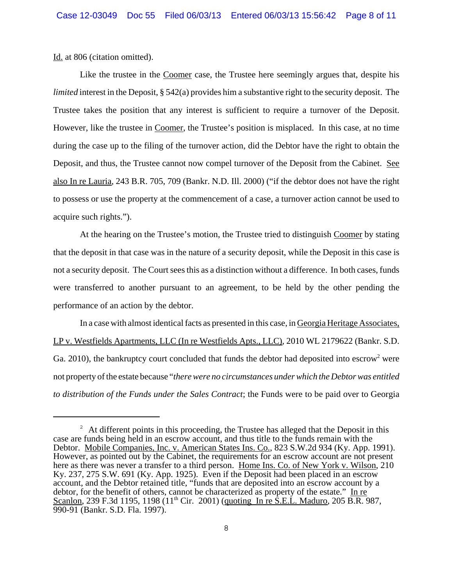Id. at 806 (citation omitted).

Like the trustee in the Coomer case, the Trustee here seemingly argues that, despite his *limited* interest in the Deposit, § 542(a) provides him a substantive right to the security deposit. The Trustee takes the position that any interest is sufficient to require a turnover of the Deposit. However, like the trustee in Coomer, the Trustee's position is misplaced. In this case, at no time during the case up to the filing of the turnover action, did the Debtor have the right to obtain the Deposit, and thus, the Trustee cannot now compel turnover of the Deposit from the Cabinet. See also In re Lauria, 243 B.R. 705, 709 (Bankr. N.D. Ill. 2000) ("if the debtor does not have the right to possess or use the property at the commencement of a case, a turnover action cannot be used to acquire such rights.").

At the hearing on the Trustee's motion, the Trustee tried to distinguish Coomer by stating that the deposit in that case was in the nature of a security deposit, while the Deposit in this case is not a security deposit. The Court sees this as a distinction without a difference. In both cases, funds were transferred to another pursuant to an agreement, to be held by the other pending the performance of an action by the debtor.

In a case with almost identical facts as presented in this case, in Georgia Heritage Associates, LP v. Westfields Apartments, LLC (In re Westfields Apts., LLC), 2010 WL 2179622 (Bankr. S.D. Ga. 2010), the bankruptcy court concluded that funds the debtor had deposited into escrow<sup>2</sup> were not property of the estate because "*there were no circumstances under which the Debtor was entitled to distribution of the Funds under the Sales Contract*; the Funds were to be paid over to Georgia

 $2<sup>2</sup>$  At different points in this proceeding, the Trustee has alleged that the Deposit in this case are funds being held in an escrow account, and thus title to the funds remain with the Debtor. Mobile Companies, Inc. v. American States Ins. Co., 823 S.W.2d 934 (Ky. App. 1991). However, as pointed out by the Cabinet, the requirements for an escrow account are not present here as there was never a transfer to a third person. Home Ins. Co. of New York v. Wilson, 210 Ky. 237, 275 S.W. 691 (Ky. App. 1925). Even if the Deposit had been placed in an escrow account, and the Debtor retained title, "funds that are deposited into an escrow account by a debtor, for the benefit of others, cannot be characterized as property of the estate." In re Scanlon, 239 F.3d 1195, 1198  $(11<sup>th</sup> Cir. 2001)$  (quoting In re S.E.L. Maduro, 205 B.R. 987, 990-91 (Bankr. S.D. Fla. 1997).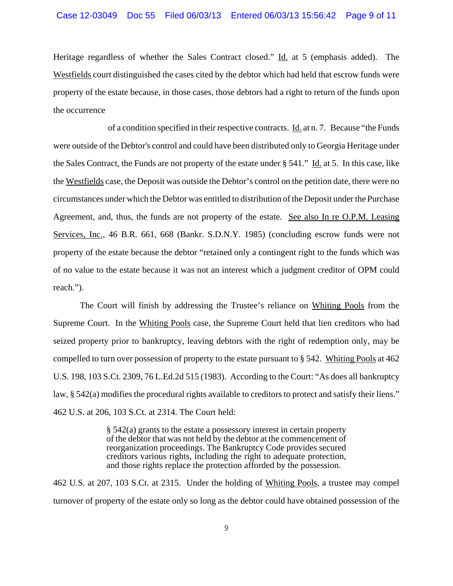Heritage regardless of whether the Sales Contract closed." Id. at 5 (emphasis added). The Westfields court distinguished the cases cited by the debtor which had held that escrow funds were property of the estate because, in those cases, those debtors had a right to return of the funds upon the occurrence

 of a condition specified in their respective contracts. Id. at n. 7. Because "the Funds were outside of the Debtor's control and could have been distributed only to Georgia Heritage under the Sales Contract, the Funds are not property of the estate under § 541." Id. at 5. In this case, like the Westfields case, the Deposit was outside the Debtor's control on the petition date, there were no circumstances under which the Debtor was entitled to distribution of the Deposit under the Purchase Agreement, and, thus, the funds are not property of the estate. See also In re O.P.M. Leasing Services, Inc., 46 B.R. 661, 668 (Bankr. S.D.N.Y. 1985) (concluding escrow funds were not property of the estate because the debtor "retained only a contingent right to the funds which was of no value to the estate because it was not an interest which a judgment creditor of OPM could reach.").

The Court will finish by addressing the Trustee's reliance on Whiting Pools from the Supreme Court. In the Whiting Pools case, the Supreme Court held that lien creditors who had seized property prior to bankruptcy, leaving debtors with the right of redemption only, may be compelled to turn over possession of property to the estate pursuant to § 542. Whiting Pools at 462 U.S. 198, 103 S.Ct. 2309, 76 L.Ed.2d 515 (1983). According to the Court: "As does all bankruptcy law, § 542(a) modifies the procedural rights available to creditors to protect and satisfy their liens." 462 U.S. at 206, 103 S.Ct. at 2314. The Court held:

> § 542(a) grants to the estate a possessory interest in certain property of the debtor that was not held by the debtor at the commencement of reorganization proceedings. The Bankruptcy Code provides secured creditors various rights, including the right to adequate protection, and those rights replace the protection afforded by the possession.

462 U.S. at 207, 103 S.Ct. at 2315. Under the holding of Whiting Pools, a trustee may compel turnover of property of the estate only so long as the debtor could have obtained possession of the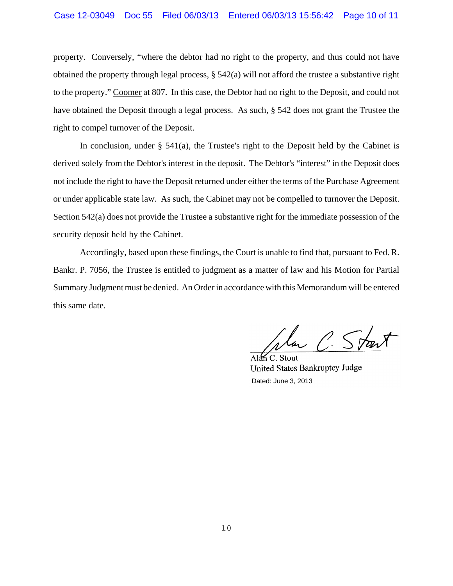# Case 12-03049 Doc 55 Filed 06/03/13 Entered 06/03/13 15:56:42 Page 10 of 11

property. Conversely, "where the debtor had no right to the property, and thus could not have obtained the property through legal process, § 542(a) will not afford the trustee a substantive right to the property." Coomer at 807. In this case, the Debtor had no right to the Deposit, and could not have obtained the Deposit through a legal process. As such, § 542 does not grant the Trustee the right to compel turnover of the Deposit.

In conclusion, under  $\S$  541(a), the Trustee's right to the Deposit held by the Cabinet is derived solely from the Debtor's interest in the deposit. The Debtor's "interest" in the Deposit does not include the right to have the Deposit returned under either the terms of the Purchase Agreement or under applicable state law. As such, the Cabinet may not be compelled to turnover the Deposit. Section 542(a) does not provide the Trustee a substantive right for the immediate possession of the security deposit held by the Cabinet.

Accordingly, based upon these findings, the Court is unable to find that, pursuant to Fed. R. Bankr. P. 7056, the Trustee is entitled to judgment as a matter of law and his Motion for Partial Summary Judgment must be denied. An Order in accordance with this Memorandum will be entered this same date.

la C Start

 $AlmC.$  Stout United States Bankruptcy Judge Dated: June 3, 2013